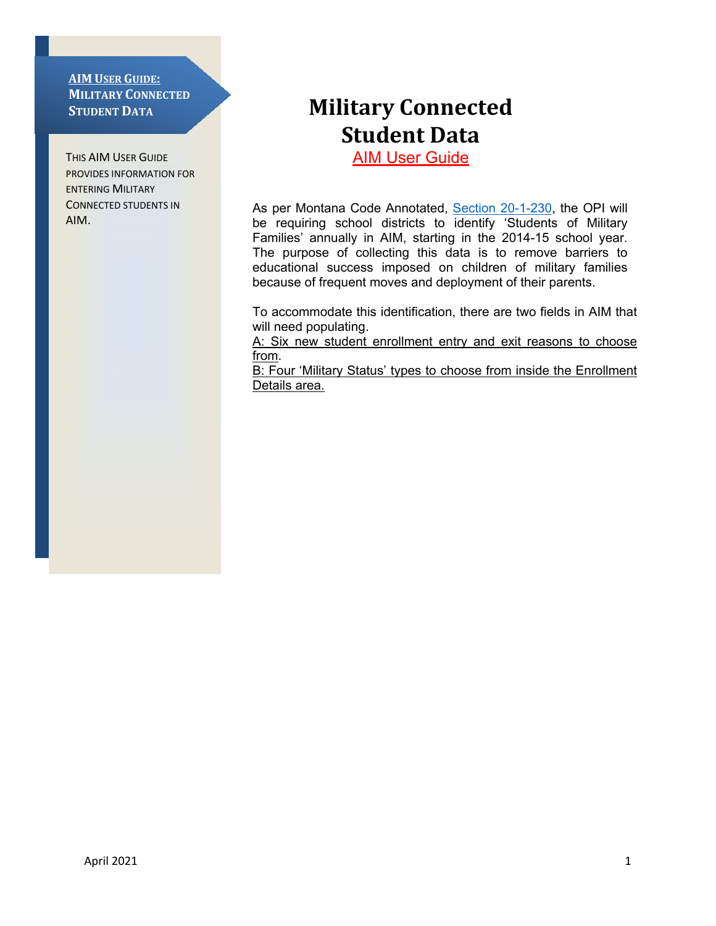#### **AIM USER GUIDE: MILITARY CONNECTED STUDENT DATA**

THIS AIM USER GUIDE PROVIDES INFORMATION FOR ENTERING MILITARY CONNECTED STUDENTS IN AIM.

# **Military Connected Student Data**

**AIM User Guide** 

As per Montana Code Annotated, [Section 20-1-230,](http://leg.mt.gov/bills/mca/20/1/20-1-230.htm) the OPI will be requiring school districts to identify 'Students of Military Families' annually in AIM, starting in the 2014-15 school year. The purpose of collecting this data is to remove barriers to educational success imposed on children of military families because of frequent moves and deployment of their parents.

To accommodate this identification, there are two fields in AIM that will need populating.

A: Six new student enrollment entry and exit reasons to choose from.

B: Four 'Military Status' types to choose from inside the Enrollment Details area.